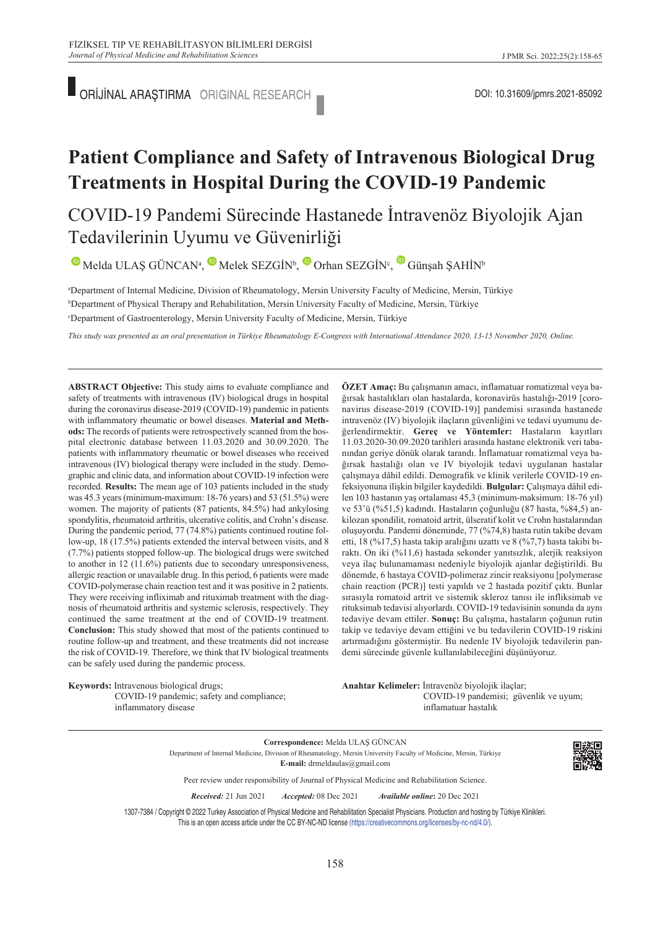ORİJİNAL ARAŞTIRMA DOI: 10.31609/jpmrs.2021-85092

## **Patient Compliance and Safety of Intravenous Biological Drug Treatments in Hospital During the COVID-19 Pandemic**

### COVID-19 Pandemi Sürecinde Hastanede İntravenöz Biyolojik Ajan Tedavilerinin Uyumu ve Güvenirliği

 $\bullet$ Melda ULAŞ GÜNCAN<sup>a</sup>,  $\bullet$  Melek SEZGİN<sup>b</sup>,  $\bullet$  Orhan SEZGİN<sup>c</sup>,  $\bullet$  Günşah ŞAHİN<sup>b</sup>

a Department of Internal Medicine, Division of Rheumatology, Mersin University Faculty of Medicine, Mersin, Türkiye b Department of Physical Therapy and Rehabilitation, Mersin University Faculty of Medicine, Mersin, Türkiye c Department of Gastroenterology, Mersin University Faculty of Medicine, Mersin, Türkiye

*This study was presented as an oral presentation in Türkiye Rheumatology E-Congress with International Attendance 2020, 13-15 November 2020, Online.* 

**ABSTRACT Objective:** This study aims to evaluate compliance and safety of treatments with intravenous (IV) biological drugs in hospital during the coronavirus disease-2019 (COVID-19) pandemic in patients with inflammatory rheumatic or bowel diseases. **Material and Methods:** The records of patients were retrospectively scanned from the hospital electronic database between 11.03.2020 and 30.09.2020. The patients with inflammatory rheumatic or bowel diseases who received intravenous (IV) biological therapy were included in the study. Demographic and clinic data, and information about COVID-19 infection were recorded. **Results:** The mean age of 103 patients included in the study was 45.3 years (minimum-maximum: 18-76 years) and 53 (51.5%) were women. The majority of patients (87 patients, 84.5%) had ankylosing spondylitis, rheumatoid arthritis, ulcerative colitis, and Crohn's disease. During the pandemic period, 77 (74.8%) patients continued routine follow-up, 18 (17.5%) patients extended the interval between visits, and 8 (7.7%) patients stopped follow-up. The biological drugs were switched to another in 12 (11.6%) patients due to secondary unresponsiveness, allergic reaction or unavailable drug. In this period, 6 patients were made COVID-polymerase chain reaction test and it was positive in 2 patients. They were receiving infliximab and rituximab treatment with the diagnosis of rheumatoid arthritis and systemic sclerosis, respectively. They continued the same treatment at the end of COVID-19 treatment. **Conclusion:** This study showed that most of the patients continued to routine follow-up and treatment, and these treatments did not increase the risk of COVID-19. Therefore, we think that IV biological treatments can be safely used during the pandemic process.

**Keywords:** Intravenous biological drugs; COVID-19 pandemic; safety and compliance; inflammatory disease

**ÖZET Amaç:** Bu çalışmanın amacı, inflamatuar romatizmal veya bağırsak hastalıkları olan hastalarda, koronavirüs hastalığı-2019 [coronavirus disease-2019 (COVID-19)] pandemisi sırasında hastanede intravenöz (IV) biyolojik ilaçların güvenliğini ve tedavi uyumunu değerlendirmektir. **Gereç ve Yöntemler:** Hastaların kayıtları 11.03.2020-30.09.2020 tarihleri arasında hastane elektronik veri tabanından geriye dönük olarak tarandı. İnflamatuar romatizmal veya bağırsak hastalığı olan ve IV biyolojik tedavi uygulanan hastalar çalışmaya dâhil edildi. Demografik ve klinik verilerle COVID-19 enfeksiyonuna ilişkin bilgiler kaydedildi. **Bulgular:** Çalışmaya dâhil edilen 103 hastanın yaş ortalaması 45,3 (minimum-maksimum: 18-76 yıl) ve 53'ü (%51,5) kadındı. Hastaların çoğunluğu (87 hasta, %84,5) ankilozan spondilit, romatoid artrit, ülseratif kolit ve Crohn hastalarından oluşuyordu. Pandemi döneminde, 77 (%74,8) hasta rutin takibe devam etti, 18 (%17,5) hasta takip aralığını uzattı ve 8 (%7,7) hasta takibi bıraktı. On iki (%11,6) hastada sekonder yanıtsızlık, alerjik reaksiyon veya ilaç bulunamaması nedeniyle biyolojik ajanlar değiştirildi. Bu dönemde, 6 hastaya COVID-polimeraz zincir reaksiyonu [polymerase chain reaction (PCR)] testi yapıldı ve 2 hastada pozitif çıktı. Bunlar sırasıyla romatoid artrit ve sistemik skleroz tanısı ile infliksimab ve rituksimab tedavisi alıyorlardı. COVID-19 tedavisinin sonunda da aynı tedaviye devam ettiler. **Sonuç:** Bu çalışma, hastaların çoğunun rutin takip ve tedaviye devam ettiğini ve bu tedavilerin COVID-19 riskini artırmadığını göstermiştir. Bu nedenle IV biyolojik tedavilerin pandemi sürecinde güvenle kullanılabileceğini düşünüyoruz.

Anahtar Kelimeler: İntravenöz biyolojik ilaçlar; COVID-19 pandemisi; güvenlik ve uyum; inflamatuar hastalık

**Correspondence:** Melda ULAŞ GÜNCAN Department of Internal Medicine, Division of Rheumatology, Mersin University Faculty of Medicine, Mersin, Türkiye **E-mail:** drmeldaulas@gmail.com



Peer review under responsibility of Journal of Physical Medicine and Rehabilitation Science.

*Re ce i ved:* 21 Jun 2021 *Ac cep ted:* 08 Dec 2021 *Available online***:** 20 Dec 2021

1307-7384 / Copyright © 2022 Turkey Association of Physical Medicine and Rehabilitation Specialist Physicians. Production and hosting by Türkiye Klinikleri. This is an open access article under the CC BY-NC-ND license [\(https://creativecommons.org/licenses/by-nc-nd/4.0/\)](https://creativecommons.org/licenses/by-nc-nd/4.0/).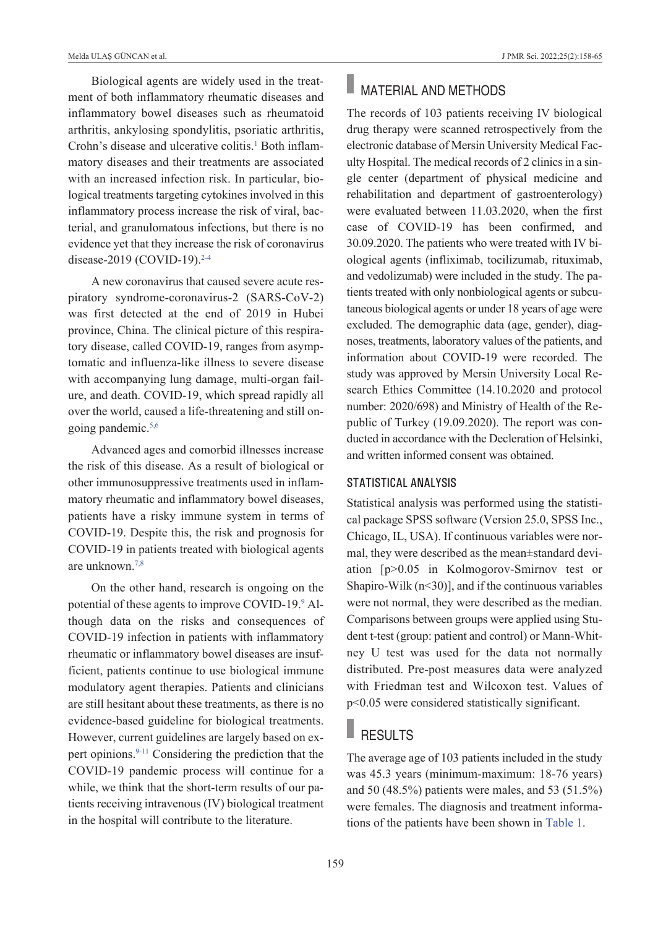Biological agents are widely used in the treatment of both inflammatory rheumatic diseases and inflammatory bowel diseases such as rheumatoid arthritis, ankylosing spondylitis, psoriatic arthritis, Crohn's disease and ulcerative colitis.<sup>1</sup> Both inflammatory diseases and their treatments are associated with an increased infection risk. In particular, biological treatments targeting cytokines involved in this inflammatory process increase the risk of viral, bacterial, and granulomatous infections, but there is no evidence yet that they increase the risk of coronavirus disease-2019 (COVID-19).<sup>2-4</sup>

A new coronavirus that caused severe acute respiratory syndrome-coronavirus-2 (SARS-CoV-2) was first detected at the end of 2019 in Hubei province, China. The clinical picture of this respiratory disease, called COVID-19, ranges from asymptomatic and influenza-like illness to severe disease with accompanying lung damage, multi-organ failure, and death. COVID-19, which spread rapidly all over the world, caused a life-threatening and still ongoing pandemic[.5,6](#page-6-0)

Advanced ages and comorbid illnesses increase the risk of this disease. As a result of biological or other immunosuppressive treatments used in inflammatory rheumatic and inflammatory bowel diseases, patients have a risky immune system in terms of COVID-19. Despite this, the risk and prognosis for COVID-19 in patients treated with biological agents are unknown[.7,8](#page-6-0)

On the other hand, research is ongoing on the potential of these agents to improve COVID-19.<sup>9</sup> Although data on the risks and consequences of COVID-19 infection in patients with inflammatory rheumatic or inflammatory bowel diseases are insufficient, patients continue to use biological immune modulatory agent therapies. Patients and clinicians are still hesitant about these treatments, as there is no evidence-based guideline for biological treatments. However, current guidelines are largely based on expert opinions[.9-11](#page-6-0) Considering the prediction that the COVID-19 pandemic process will continue for a while, we think that the short-term results of our patients receiving intravenous (IV) biological treatment in the hospital will contribute to the literature.

# **MATERIAL AND METHODS**

The records of 103 patients receiving IV biological drug therapy were scanned retrospectively from the electronic database of Mersin University Medical Faculty Hospital. The medical records of 2 clinics in a single center (department of physical medicine and rehabilitation and department of gastroenterology) were evaluated between 11.03.2020, when the first case of COVID-19 has been confirmed, and 30.09.2020. The patients who were treated with IV biological agents (infliximab, tocilizumab, rituximab, and vedolizumab) were included in the study. The patients treated with only nonbiological agents or subcutaneous biological agents or under 18 years of age were excluded. The demographic data (age, gender), diagnoses, treatments, laboratory values of the patients, and information about COVID-19 were recorded. The study was approved by Mersin University Local Research Ethics Committee (14.10.2020 and protocol number: 2020/698) and Ministry of Health of the Republic of Turkey (19.09.2020). The report was conducted in accordance with the Decleration of Helsinki, and written informed consent was obtained.

#### STATISTICAL ANALYSIS

Statistical analysis was performed using the statistical package SPSS software (Version 25.0, SPSS Inc., Chicago, IL, USA). If continuous variables were normal, they were described as the mean±standard deviation [p>0.05 in Kolmogorov-Smirnov test or Shapiro-Wilk  $(n<30)$ ], and if the continuous variables were not normal, they were described as the median. Comparisons between groups were applied using Student t-test (group: patient and control) or Mann-Whitney U test was used for the data not normally distributed. Pre-post measures data were analyzed with Friedman test and Wilcoxon test. Values of p<0.05 were considered statistically significant.

### RESULTS

The average age of 103 patients included in the study was 45.3 years (minimum-maximum: 18-76 years) and 50 (48.5%) patients were males, and 53 (51.5%) were females. The diagnosis and treatment informations of the patients have been shown in [Table 1.](#page-2-0)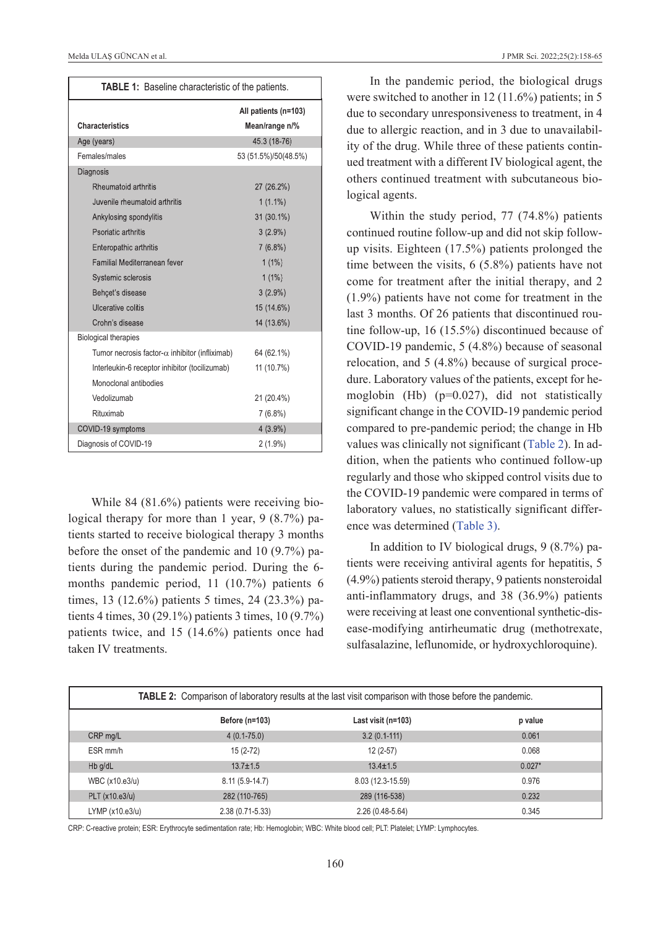| TABLE 1: Baseline characteristic of the patients.      |                                        |  |  |
|--------------------------------------------------------|----------------------------------------|--|--|
| <b>Characteristics</b>                                 | All patients (n=103)<br>Mean/range n/% |  |  |
| Age (years)                                            | 45.3 (18-76)                           |  |  |
| Females/males                                          | 53 (51.5%)/50(48.5%)                   |  |  |
| Diagnosis                                              |                                        |  |  |
| Rheumatoid arthritis                                   | 27 (26.2%)                             |  |  |
| Juvenile rheumatoid arthritis                          | $1(1.1\%)$                             |  |  |
| Ankylosing spondylitis                                 | 31 (30.1%)                             |  |  |
| Psoriatic arthritis                                    | $3(2.9\%)$                             |  |  |
| Enteropathic arthritis                                 | $7(6.8\%)$                             |  |  |
| Familial Mediterranean fever                           | $1(1\%)$                               |  |  |
| Systemic sclerosis                                     | $1(1\%)$                               |  |  |
| Behcet's disease                                       | $3(2.9\%)$                             |  |  |
| Ulcerative colitis                                     | 15 (14.6%)                             |  |  |
| Crohn's disease                                        | 14 (13.6%)                             |  |  |
| <b>Biological therapies</b>                            |                                        |  |  |
| Tumor necrosis factor- $\alpha$ inhibitor (infliximab) | 64 (62.1%)                             |  |  |
| Interleukin-6 receptor inhibitor (tocilizumab)         | 11 (10.7%)                             |  |  |
| Monoclonal antibodies                                  |                                        |  |  |
| Vedolizumab                                            | 21 (20.4%)                             |  |  |
| Rituximab                                              | $7(6.8\%)$                             |  |  |
| COVID-19 symptoms                                      | $4(3.9\%)$                             |  |  |
| Diagnosis of COVID-19                                  | $2(1.9\%)$                             |  |  |

While 84 (81.6%) patients were receiving biological therapy for more than 1 year, 9 (8.7%) patients started to receive biological therapy 3 months before the onset of the pandemic and 10 (9.7%) patients during the pandemic period. During the 6 months pandemic period, 11 (10.7%) patients 6 times, 13 (12.6%) patients 5 times, 24 (23.3%) patients 4 times, 30 (29.1%) patients 3 times, 10 (9.7%) patients twice, and 15 (14.6%) patients once had taken IV treatments.

<span id="page-2-0"></span>In the pandemic period, the biological drugs were switched to another in 12 (11.6%) patients; in 5 due to secondary unresponsiveness to treatment, in 4 due to allergic reaction, and in 3 due to unavailability of the drug. While three of these patients continued treatment with a different IV biological agent, the others continued treatment with subcutaneous biological agents.

Within the study period, 77 (74.8%) patients continued routine follow-up and did not skip followup visits. Eighteen (17.5%) patients prolonged the time between the visits, 6 (5.8%) patients have not come for treatment after the initial therapy, and 2 (1.9%) patients have not come for treatment in the last 3 months. Of 26 patients that discontinued routine follow-up, 16 (15.5%) discontinued because of COVID-19 pandemic, 5 (4.8%) because of seasonal relocation, and 5 (4.8%) because of surgical procedure. Laboratory values of the patients, except for hemoglobin (Hb) (p=0.027), did not statistically significant change in the COVID-19 pandemic period compared to pre-pandemic period; the change in Hb values was clinically not significant (Table 2). In addition, when the patients who continued follow-up regularly and those who skipped control visits due to the COVID-19 pandemic were compared in terms of laboratory values, no statistically significant difference was determined [\(Table 3\).](#page-3-0)

In addition to IV biological drugs, 9 (8.7%) patients were receiving antiviral agents for hepatitis, 5 (4.9%) patients steroid therapy, 9 patients nonsteroidal anti-inflammatory drugs, and 38 (36.9%) patients were receiving at least one conventional synthetic-disease-modifying antirheumatic drug (methotrexate, sulfasalazine, leflunomide, or hydroxychloroquine).

| <b>TABLE 2:</b> Comparison of laboratory results at the last visit comparison with those before the pandemic. |                     |                    |          |  |
|---------------------------------------------------------------------------------------------------------------|---------------------|--------------------|----------|--|
|                                                                                                               | Before (n=103)      | Last visit (n=103) | p value  |  |
| CRP mg/L                                                                                                      | $4(0.1 - 75.0)$     | $3.2(0.1-111)$     | 0.061    |  |
| ESR mm/h                                                                                                      | $15(2-72)$          | $12(2-57)$         | 0.068    |  |
| $Hb$ g/dL                                                                                                     | $13.7 \pm 1.5$      | $13.4 \pm 1.5$     | $0.027*$ |  |
| WBC (x10.e3/u)                                                                                                | $8.11(5.9-14.7)$    | 8.03 (12.3-15.59)  | 0.976    |  |
| PLT (x10.e3/u)                                                                                                | 282 (110-765)       | 289 (116-538)      | 0.232    |  |
| LYMP(x10.e3/u)                                                                                                | $2.38(0.71 - 5.33)$ | $2.26(0.48-5.64)$  | 0.345    |  |

CRP: C-reactive protein; ESR: Erythrocyte sedimentation rate; Hb: Hemoglobin; WBC: White blood cell; PLT: Platelet; LYMP: Lymphocytes.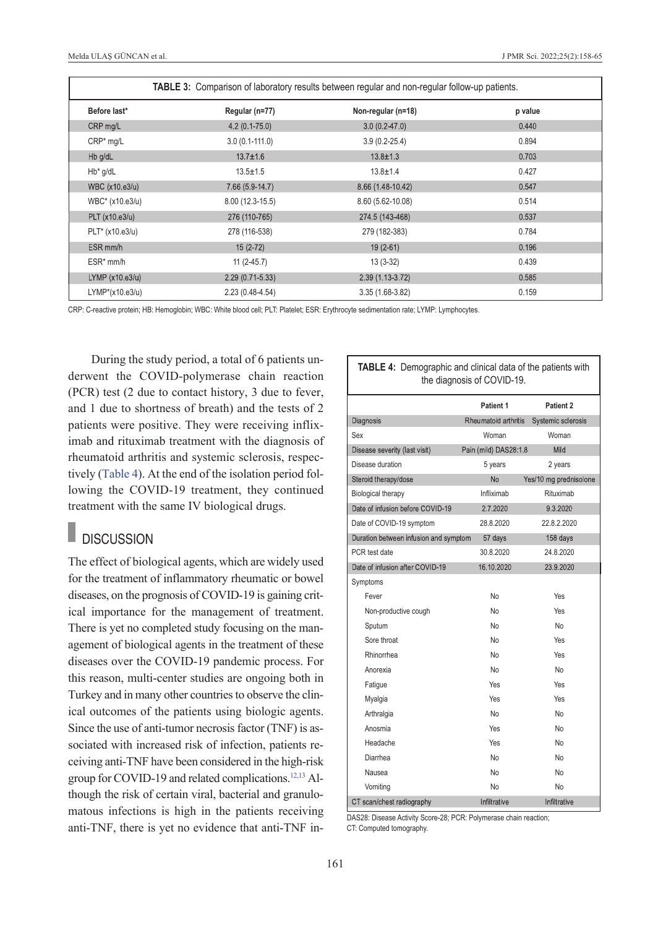| TABLE 3: Comparison of laboratory results between regular and non-regular follow-up patients. |                   |                    |         |  |
|-----------------------------------------------------------------------------------------------|-------------------|--------------------|---------|--|
| Before last*                                                                                  | Regular (n=77)    | Non-regular (n=18) | p value |  |
| CRP mg/L                                                                                      | $4.2(0.1 - 75.0)$ | $3.0(0.2-47.0)$    | 0.440   |  |
| CRP* mg/L                                                                                     | $3.0(0.1-111.0)$  | $3.9(0.2 - 25.4)$  | 0.894   |  |
| Hb g/dL                                                                                       | $13.7 \pm 1.6$    | $13.8 \pm 1.3$     | 0.703   |  |
| $Hb^*$ g/dL                                                                                   | $13.5 \pm 1.5$    | $13.8 \pm 1.4$     | 0.427   |  |
| WBC (x10.e3/u)                                                                                | $7.66(5.9-14.7)$  | 8.66 (1.48-10.42)  | 0.547   |  |
| WBC* (x10.e3/u)                                                                               | $8.00(12.3-15.5)$ | 8.60 (5.62-10.08)  | 0.514   |  |
| PLT (x10.e3/u)                                                                                | 276 (110-765)     | 274.5 (143-468)    | 0.537   |  |
| PLT* (x10.e3/u)                                                                               | 278 (116-538)     | 279 (182-383)      | 0.784   |  |
| ESR mm/h                                                                                      | $15(2-72)$        | $19(2-61)$         | 0.196   |  |
| $ESR*mm/h$                                                                                    | $11(2-45.7)$      | $13(3-32)$         | 0.439   |  |
| LYMP (x10.e3/u)                                                                               | $2.29(0.71-5.33)$ | $2.39(1.13-3.72)$  | 0.585   |  |
| $LYMP*(x10.e3/u)$                                                                             | $2.23(0.48-4.54)$ | 3.35 (1.68-3.82)   | 0.159   |  |

CRP: C-reactive protein; HB: Hemoglobin; WBC: White blood cell; PLT: Platelet; ESR: Erythrocyte sedimentation rate; LYMP: Lymphocytes.

During the study period, a total of 6 patients underwent the COVID-polymerase chain reaction (PCR) test (2 due to contact history, 3 due to fever, and 1 due to shortness of breath) and the tests of 2 patients were positive. They were receiving infliximab and rituximab treatment with the diagnosis of rheumatoid arthritis and systemic sclerosis, respectively [\(Table 4\)](#page-3-1). At the end of the isolation period following the COVID-19 treatment, they continued treatment with the same IV biological drugs.

#### П **DISCUSSION**

The effect of biological agents, which are widely used for the treatment of inflammatory rheumatic or bowel diseases, on the prognosis of COVID-19 is gaining critical importance for the management of treatment. There is yet no completed study focusing on the management of biological agents in the treatment of these diseases over the COVID-19 pandemic process. For this reason, multi-center studies are ongoing both in Turkey and in many other countries to observe the clinical outcomes of the patients using biologic agents. Since the use of anti-tumor necrosis factor (TNF) is associated with increased risk of infection, patients receiving anti-TNF have been considered in the high-risk group for COVID-19 and related complications.<sup>12,13</sup> Although the risk of certain viral, bacterial and granulomatous infections is high in the patients receiving anti-TNF, there is yet no evidence that anti-TNF in-

<span id="page-3-1"></span><span id="page-3-0"></span>

| TABLE 4: Demographic and clinical data of the patients with<br>the diagnosis of COVID-19. |                       |                        |  |  |
|-------------------------------------------------------------------------------------------|-----------------------|------------------------|--|--|
|                                                                                           | Patient 1             | Patient 2              |  |  |
| Diagnosis                                                                                 | Rheumatoid arthritis  | Systemic sclerosis     |  |  |
| Sex                                                                                       | Woman                 | Woman                  |  |  |
| Disease severity (last visit)                                                             | Pain (mild) DAS28:1.8 | Mild                   |  |  |
| Disease duration                                                                          | 5 years               | 2 years                |  |  |
| Steroid therapy/dose                                                                      | <b>No</b>             | Yes/10 mg prednisolone |  |  |
| <b>Biological therapy</b>                                                                 | Infliximab            | Rituximab              |  |  |
| Date of infusion before COVID-19                                                          | 2.7.2020              | 9.3.2020               |  |  |
| Date of COVID-19 symptom                                                                  | 28.8.2020             | 22.8.2.2020            |  |  |
| Duration between infusion and symptom                                                     | 57 days               | 158 days               |  |  |
| PCR test date                                                                             | 30.8.2020             | 24.8.2020              |  |  |
| Date of infusion after COVID-19                                                           | 16.10.2020            | 23.9.2020              |  |  |
| Symptoms                                                                                  |                       |                        |  |  |
| Fever                                                                                     | No                    | Yes                    |  |  |
| Non-productive cough                                                                      | <b>No</b>             | Yes                    |  |  |
| Sputum                                                                                    | <b>No</b>             | <b>No</b>              |  |  |
| Sore throat                                                                               | No                    | Yes                    |  |  |
| Rhinorrhea                                                                                | <b>No</b>             | Yes                    |  |  |
| Anorexia                                                                                  | <b>No</b>             | <b>No</b>              |  |  |
| Fatigue                                                                                   | Yes                   | Yes                    |  |  |
| Myalgia                                                                                   | Yes                   | Yes                    |  |  |
| Arthralgia                                                                                | <b>No</b>             | <b>No</b>              |  |  |
| Anosmia                                                                                   | Yes                   | <b>No</b>              |  |  |
| Headache                                                                                  | Yes                   | <b>No</b>              |  |  |
| Diarrhea                                                                                  | <b>No</b>             | <b>No</b>              |  |  |
| Nausea                                                                                    | <b>No</b>             | <b>No</b>              |  |  |
| Vomiting                                                                                  | <b>No</b>             | <b>No</b>              |  |  |
| CT scan/chest radiography                                                                 | Infiltrative          | Infiltrative           |  |  |

DAS28: Disease Activity Score-28; PCR: Polymerase chain reaction; CT: Computed tomography.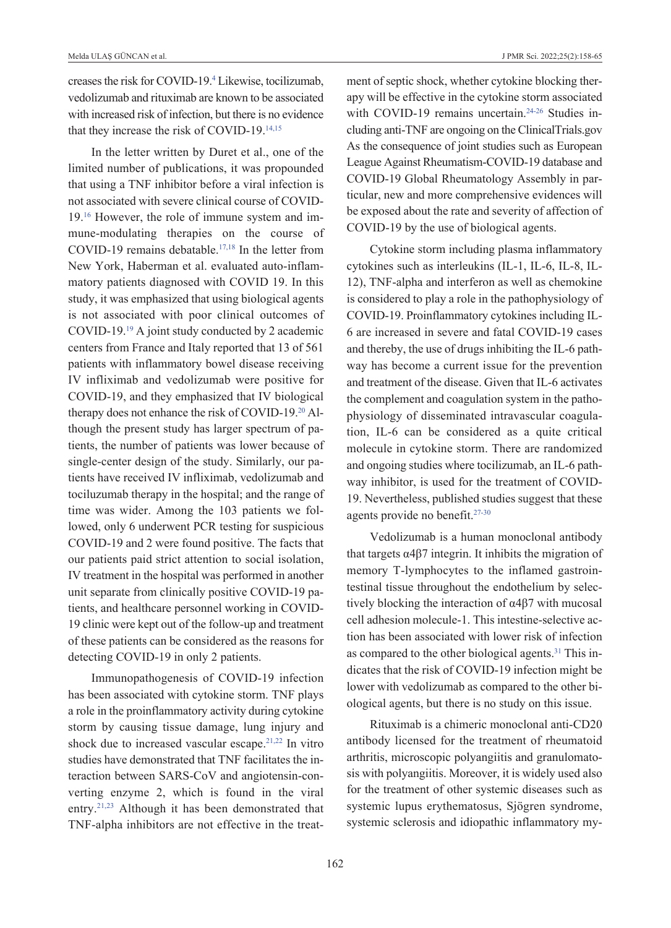creases the risk for COVID-19[.4](#page-6-0) Likewise, tocilizumab, vedolizumab and rituximab are known to be associated with increased risk of infection, but there is no evidence that they increase the risk of COVID-19[.14,15](#page-6-0)

In the letter written by Duret et al., one of the limited number of publications, it was propounded that using a TNF inhibitor before a viral infection is not associated with severe clinical course of COVID-19[.16](#page-6-0) However, the role of immune system and immune-modulating therapies on the course of COVID-19 remains debatable[.17,18](#page-6-0) In the letter from New York, Haberman et al. evaluated auto-inflammatory patients diagnosed with COVID 19. In this study, it was emphasized that using biological agents is not associated with poor clinical outcomes of COVID-19[.19](#page-6-0) A joint study conducted by 2 academic centers from France and Italy reported that 13 of 561 patients with inflammatory bowel disease receiving IV infliximab and vedolizumab were positive for COVID-19, and they emphasized that IV biological therapy does not enhance the risk of COVID-19[.20](#page-6-0) Although the present study has larger spectrum of patients, the number of patients was lower because of single-center design of the study. Similarly, our patients have received IV infliximab, vedolizumab and tociluzumab therapy in the hospital; and the range of time was wider. Among the 103 patients we followed, only 6 underwent PCR testing for suspicious COVID-19 and 2 were found positive. The facts that our patients paid strict attention to social isolation, IV treatment in the hospital was performed in another unit separate from clinically positive COVID-19 patients, and healthcare personnel working in COVID-19 clinic were kept out of the follow-up and treatment of these patients can be considered as the reasons for detecting COVID-19 in only 2 patients.

Immunopathogenesis of COVID-19 infection has been associated with cytokine storm. TNF plays a role in the proinflammatory activity during cytokine storm by causing tissue damage, lung injury and shock due to increased vascular escape.<sup>21,22</sup> In vitro studies have demonstrated that TNF facilitates the interaction between SARS-CoV and angiotensin-converting enzyme 2, which is found in the viral entry[.21,23](#page-6-0) Although it has been demonstrated that TNF-alpha inhibitors are not effective in the treatment of septic shock, whether cytokine blocking therapy will be effective in the cytokine storm associated with COVID-19 remains uncertain.<sup>24-26</sup> Studies including anti-TNF are ongoing on the ClinicalTrials.gov As the consequence of joint studies such as European League Against Rheumatism-COVID-19 database and COVID-19 Global Rheumatology Assembly in particular, new and more comprehensive evidences will be exposed about the rate and severity of affection of COVID-19 by the use of biological agents.

Cytokine storm including plasma inflammatory cytokines such as interleukins (IL-1, IL-6, IL-8, IL-12), TNF-alpha and interferon as well as chemokine is considered to play a role in the pathophysiology of COVID-19. Proinflammatory cytokines including IL-6 are increased in severe and fatal COVID-19 cases and thereby, the use of drugs inhibiting the IL-6 pathway has become a current issue for the prevention and treatment of the disease. Given that IL-6 activates the complement and coagulation system in the pathophysiology of disseminated intravascular coagulation, IL-6 can be considered as a quite critical molecule in cytokine storm. There are randomized and ongoing studies where tocilizumab, an IL-6 pathway inhibitor, is used for the treatment of COVID-19. Nevertheless, published studies suggest that these agents provide no benefit[.27-30](#page-6-0) 

Vedolizumab is a human monoclonal antibody that targets  $α4β7$  integrin. It inhibits the migration of memory T-lymphocytes to the inflamed gastrointestinal tissue throughout the endothelium by selectively blocking the interaction of α4β7 with mucosal cell adhesion molecule-1. This intestine-selective action has been associated with lower risk of infection as compared to the other biological agents.<sup>31</sup> This indicates that the risk of COVID-19 infection might be lower with vedolizumab as compared to the other biological agents, but there is no study on this issue.

Rituximab is a chimeric monoclonal anti-CD20 antibody licensed for the treatment of rheumatoid arthritis, microscopic polyangiitis and granulomatosis with polyangiitis. Moreover, it is widely used also for the treatment of other systemic diseases such as systemic lupus erythematosus, Sjögren syndrome, systemic sclerosis and idiopathic inflammatory my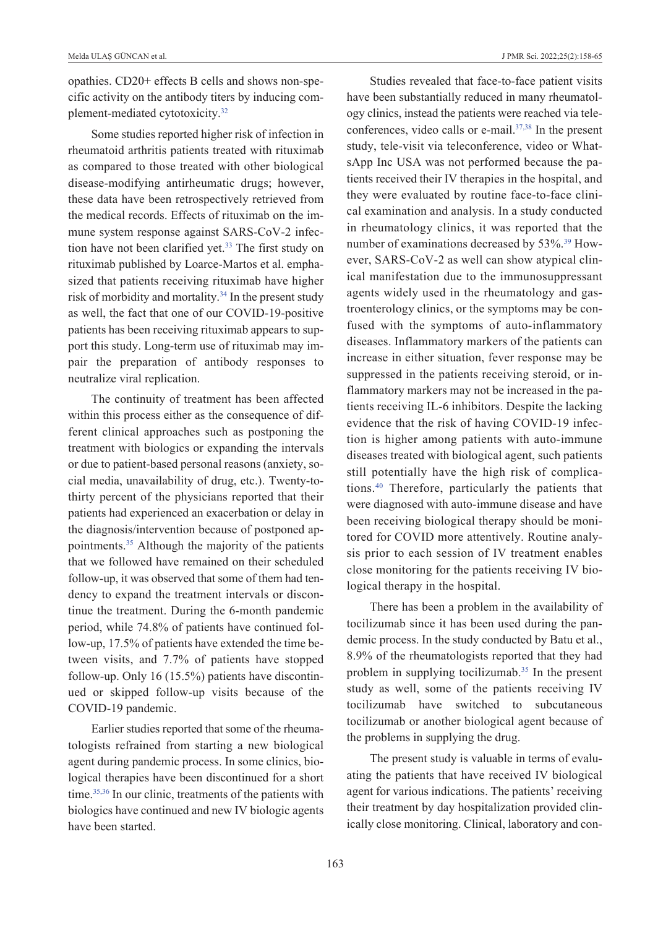opathies. CD20+ effects B cells and shows non-specific activity on the antibody titers by inducing complement-mediated cytotoxicity[.32](#page-6-0)

Some studies reported higher risk of infection in rheumatoid arthritis patients treated with rituximab as compared to those treated with other biological disease-modifying antirheumatic drugs; however, these data have been retrospectively retrieved from the medical records. Effects of rituximab on the immune system response against SARS-CoV-2 infection have not been clarified yet.<sup>33</sup> The first study on rituximab published by Loarce-Martos et al. emphasized that patients receiving rituximab have higher risk of morbidity and mortality.<sup>34</sup> In the present study as well, the fact that one of our COVID-19-positive patients has been receiving rituximab appears to support this study. Long-term use of rituximab may impair the preparation of antibody responses to neutralize viral replication.

The continuity of treatment has been affected within this process either as the consequence of different clinical approaches such as postponing the treatment with biologics or expanding the intervals or due to patient-based personal reasons (anxiety, social media, unavailability of drug, etc.). Twenty-tothirty percent of the physicians reported that their patients had experienced an exacerbation or delay in the diagnosis/intervention because of postponed appointments[.35](#page-6-0) Although the majority of the patients that we followed have remained on their scheduled follow-up, it was observed that some of them had tendency to expand the treatment intervals or discontinue the treatment. During the 6-month pandemic period, while 74.8% of patients have continued follow-up, 17.5% of patients have extended the time between visits, and 7.7% of patients have stopped follow-up. Only 16 (15.5%) patients have discontinued or skipped follow-up visits because of the COVID-19 pandemic.

Earlier studies reported that some of the rheumatologists refrained from starting a new biological agent during pandemic process. In some clinics, biological therapies have been discontinued for a short time.<sup>35,36</sup> In our clinic, treatments of the patients with biologics have continued and new IV biologic agents have been started.

Studies revealed that face-to-face patient visits have been substantially reduced in many rheumatology clinics, instead the patients were reached via teleconferences, video calls or e-mail[.37,38](#page-6-0) In the present study, tele-visit via teleconference, video or WhatsApp Inc USA was not performed because the patients received their IV therapies in the hospital, and they were evaluated by routine face-to-face clinical examination and analysis. In a study conducted in rheumatology clinics, it was reported that the number of examinations decreased by 53%[.39](#page-6-0) However, SARS-CoV-2 as well can show atypical clinical manifestation due to the immunosuppressant agents widely used in the rheumatology and gastroenterology clinics, or the symptoms may be confused with the symptoms of auto-inflammatory diseases. Inflammatory markers of the patients can increase in either situation, fever response may be suppressed in the patients receiving steroid, or inflammatory markers may not be increased in the patients receiving IL-6 inhibitors. Despite the lacking evidence that the risk of having COVID-19 infection is higher among patients with auto-immune diseases treated with biological agent, such patients still potentially have the high risk of complications[.40](#page-6-0) Therefore, particularly the patients that were diagnosed with auto-immune disease and have been receiving biological therapy should be monitored for COVID more attentively. Routine analysis prior to each session of IV treatment enables close monitoring for the patients receiving IV biological therapy in the hospital.

There has been a problem in the availability of tocilizumab since it has been used during the pandemic process. In the study conducted by Batu et al., 8.9% of the rheumatologists reported that they had problem in supplying tocilizumab[.35](#page-6-0) In the present study as well, some of the patients receiving IV tocilizumab have switched to subcutaneous tocilizumab or another biological agent because of the problems in supplying the drug.

The present study is valuable in terms of evaluating the patients that have received IV biological agent for various indications. The patients' receiving their treatment by day hospitalization provided clinically close monitoring. Clinical, laboratory and con-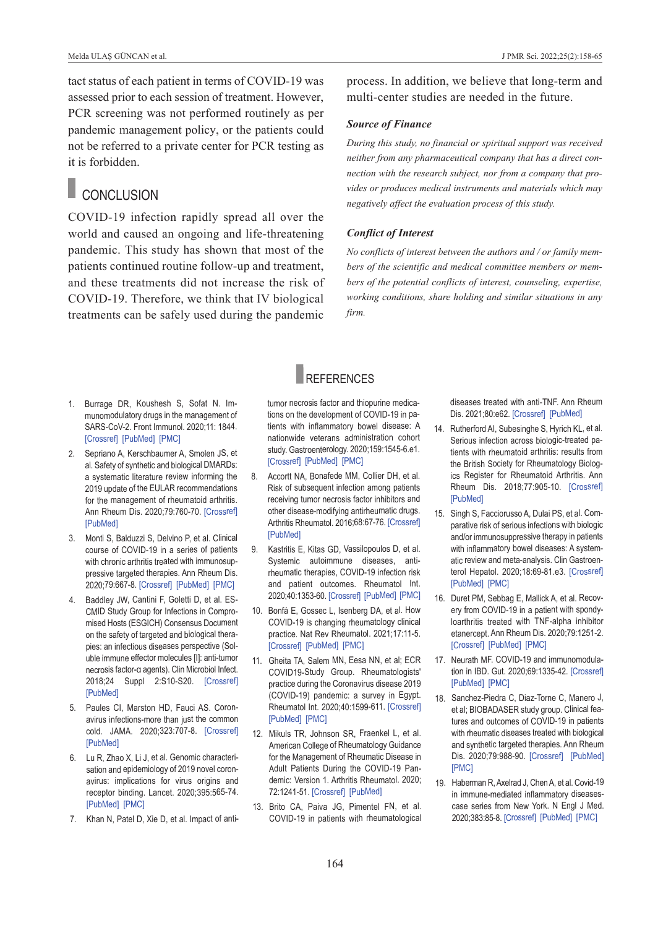tact status of each patient in terms of COVID-19 was assessed prior to each session of treatment. However, PCR screening was not performed routinely as per pandemic management policy, or the patients could not be referred to a private center for PCR testing as it is forbidden.

### CONCLUSION

COVID-19 infection rapidly spread all over the world and caused an ongoing and life-threatening pandemic. This study has shown that most of the patients continued routine follow-up and treatment, and these treatments did not increase the risk of COVID-19. Therefore, we think that IV biological treatments can be safely used during the pandemic process. In addition, we believe that long-term and multi-center studies are needed in the future.

#### *Source of Finance*

*During this study, no financial or spiritual support was received neither from any pharmaceutical company that has a direct connection with the research subject, nor from a company that provides or produces medical instruments and materials which may negatively affect the evaluation process of this study.* 

#### *Conflict of Interest*

*No conflicts of interest between the authors and / or family members of the scientific and medical committee members or members of the potential conflicts of interest, counseling, expertise, working conditions, share holding and similar situations in any firm.*

- 1. Burrage DR, Koushesh S, Sofat N. Immunomodulatory drugs in the management of SARS-CoV-2. Front Immunol. 2020;11: 1844.
- 2. Sepriano A, Kerschbaumer A, Smolen JS, et al. Safety of synthetic and biological DMARDs: a systematic literature review informing the 2019 update of the EULAR recommendations for the management of rheumatoid arthritis. Ann Rheum Dis. 2020;79:760-70. [\[Crossref\]](https://ard.bmj.com/content/79/6/760) [\[PubMed\]](https://pubmed.ncbi.nlm.nih.gov/32033941/)

[\[Crossref\]](https://www.frontiersin.org/articles/10.3389/fimmu.2020.01844/full) [\[PubMed\]](https://pubmed.ncbi.nlm.nih.gov/32903555/) [\[PMC\]](https://www.ncbi.nlm.nih.gov/pmc/articles/PMC7438578/) 

- 3. Monti S, Balduzzi S, Delvino P, et al. Clinical course of COVID-19 in a series of patients with chronic arthritis treated with immunosuppressive targeted therapies. Ann Rheum Dis. 2020;79:667-8. [\[Crossref\]](https://ard.bmj.com/content/79/5/667) [\[PubMed\]](https://pubmed.ncbi.nlm.nih.gov/32241793/) [\[PMC\]](https://www.ncbi.nlm.nih.gov/pmc/articles/PMC7211079/)
- 4. Baddley JW, Cantini F, Goletti D, et al. ES-CMID Study Group for Infections in Compromised Hosts (ESGICH) Consensus Document on the safety of targeted and biological therapies: an infectious diseases perspective (Soluble immune effector molecules [I]: anti-tumor necrosis factor-α agents). Clin Microbiol Infect. 2018;24 Suppl 2:S10-S20. [\[Crossref\]](https://www.sciencedirect.com/science/article/pii/S1198743X18300302?via%3Dihub) [\[PubMed\]](https://pubmed.ncbi.nlm.nih.gov/29459143/)
- 5. Paules CI, Marston HD, Fauci AS. Coronavirus infections-more than just the common cold. JAMA. 2020;323:707-8. [\[Crossref\]](https://jamanetwork.com/journals/jama/fullarticle/2759815) [\[PubMed\]](https://pubmed.ncbi.nlm.nih.gov/31971553/)
- 6. Lu R, Zhao X, Li J, et al. Genomic characterisation and epidemiology of 2019 novel coronavirus: implications for virus origins and receptor binding. Lancet. 2020;395:565-74. [\[PubMed\]](https://pubmed.ncbi.nlm.nih.gov/32007145/) [\[PMC\]](https://www.ncbi.nlm.nih.gov/pmc/articles/PMC7159086/)
- 7. Khan N, Patel D, Xie D, et al. Impact of anti-

tumor necrosis factor and thiopurine medica-

**REFERENCES** 

tions on the development of COVID-19 in patients with inflammatory bowel disease: A nationwide veterans administration cohort study. Gastroenterology. 2020;159:1545-6.e1. [\[Crossref\]](https://www.sciencedirect.com/science/article/abs/pii/S0016508520347375?via%3Dihub) [\[PubMed\]](https://pubmed.ncbi.nlm.nih.gov/32479823/) [\[PMC\]](https://www.ncbi.nlm.nih.gov/pmc/articles/PMC7258834/)

- 8. Accortt NA, Bonafede MM, Collier DH, et al. Risk of subsequent infection among patients receiving tumor necrosis factor inhibitors and other disease-modifying antirheumatic drugs. Arthritis Rheumatol. 2016;68:67-76. [\[Crossref\]](https://onlinelibrary.wiley.com/doi/epdf/10.1002/art.39416) [\[PubMed\]](https://pubmed.ncbi.nlm.nih.gov/26359948/)
- 9. Kastritis E, Kitas GD, Vassilopoulos D, et al. Systemic autoimmune diseases, antirheumatic therapies, COVID-19 infection risk and patient outcomes. Rheumatol Int. 2020;40:1353-60. [\[Crossref\]](https://link.springer.com/article/10.1007/s00296-020-04629-x) [\[PubMed\]](https://pubmed.ncbi.nlm.nih.gov/32654078/) [\[PMC\]](https://www.ncbi.nlm.nih.gov/pmc/articles/PMC7353833/)
- 10. Bonfá E, Gossec L, Isenberg DA, et al. How COVID-19 is changing rheumatology clinical practice. Nat Rev Rheumatol. 2021;17:11-5. [\[Crossref\]](https://www.nature.com/articles/s41584-020-00527-5) [\[PubMed\]](https://pubmed.ncbi.nlm.nih.gov/33139947/) [\[PMC\]](https://www.ncbi.nlm.nih.gov/pmc/articles/PMC7604913/)
- 11. Gheita TA, Salem MN, Eesa NN, et al; ECR COVID19-Study Group. Rheumatologists' practice during the Coronavirus disease 2019 (COVID-19) pandemic: a survey in Egypt. Rheumatol Int. 2020;40:1599-611. [\[Crossref\]](https://link.springer.com/article/10.1007/s00296-020-04655-9) [\[PubMed\]](https://pubmed.ncbi.nlm.nih.gov/32710198/) [\[PMC\]](https://www.ncbi.nlm.nih.gov/pmc/articles/PMC7380140/)
- 12. Mikuls TR, Johnson SR, Fraenkel L, et al. American College of Rheumatology Guidance for the Management of Rheumatic Disease in Adult Patients During the COVID-19 Pandemic: Version 1. Arthritis Rheumatol. 2020; 72:1241-51. [\[Crossref\]](https://onlinelibrary.wiley.com/doi/10.1002/art.41301) [\[PubMed\]](https://pubmed.ncbi.nlm.nih.gov/32349183/)
- 13. Brito CA, Paiva JG, Pimentel FN, et al. COVID-19 in patients with rheumatological

<span id="page-6-0"></span>diseases treated with anti-TNF. Ann Rheum Dis. 2021;80:e62. [\[Crossref\]](https://ard.bmj.com/content/80/5/e62) [\[PubMed\]](https://pubmed.ncbi.nlm.nih.gov/32546603/)

- 14. Rutherford AI, Subesinghe S, Hyrich KL, et al. Serious infection across biologic-treated patients with rheumatoid arthritis: results from the British Society for Rheumatology Biologics Register for Rheumatoid Arthritis. Ann Rheum Dis. 2018;77:905-10. [\[Crossref\]](https://ard.bmj.com/content/77/6/905) [\[PubMed\]](https://pubmed.ncbi.nlm.nih.gov/29592917/)
- 15. Singh S, Facciorusso A, Dulai PS, et al. Comparative risk of serious infections with biologic and/or immunosuppressive therapy in patients with inflammatory bowel diseases: A systematic review and meta-analysis. Clin Gastroenterol Hepatol. 2020;18:69-81.e3. [\[Crossref\]](https://www.sciencedirect.com/science/article/abs/pii/S1542356519302551?via%3Dihub) [\[PubMed\]](https://pubmed.ncbi.nlm.nih.gov/30876964/) [\[PMC\]](https://www.ncbi.nlm.nih.gov/pmc/articles/PMC8011651/)
- 16. Duret PM, Sebbag E, Mallick A, et al. Recovery from COVID-19 in a patient with spondyloarthritis treated with TNF-alpha inhibitor etanercept. Ann Rheum Dis. 2020;79:1251-2. [\[Crossref\]](https://ard.bmj.com/content/79/9/1251) [\[PubMed\]](https://pubmed.ncbi.nlm.nih.gov/32354772/) [\[PMC\]](https://www.ncbi.nlm.nih.gov/pmc/articles/PMC7456545/)
- 17. Neurath MF. COVID-19 and immunomodulation in IBD. Gut. 2020;69:1335-42. [\[Crossref\]](https://gut.bmj.com/content/69/7/1335) [\[PubMed\]](https://pubmed.ncbi.nlm.nih.gov/32303609/) [\[PMC\]](https://www.ncbi.nlm.nih.gov/pmc/articles/PMC7211083/)
- 18. Sanchez-Piedra C, Diaz-Torne C, Manero J, et al; BIOBADASER study group. Clinical features and outcomes of COVID-19 in patients with rheumatic diseases treated with biological and synthetic targeted therapies. Ann Rheum Dis. 2020;79:988-90. [\[Crossref\]](https://doi.org/10.1136/annrheumdis-2020-217948) [\[PubMed\]](https://pubmed.ncbi.nlm.nih.gov/32503857/) [\[PMC\]](https://www.ncbi.nlm.nih.gov/pmc/articles/PMC7307213/)
- 19. Haberman R, Axelrad J, Chen A, et al. Covid-19 in immune-mediated inflammatory diseasescase series from New York. N Engl J Med. 2020;383:85-8. [\[Crossref\]](https://www.nejm.org/doi/10.1056/NEJMc2009567) [\[PubMed\]](https://pubmed.ncbi.nlm.nih.gov/32348641/) [\[PMC\]](https://www.ncbi.nlm.nih.gov/pmc/articles/PMC7204427/)